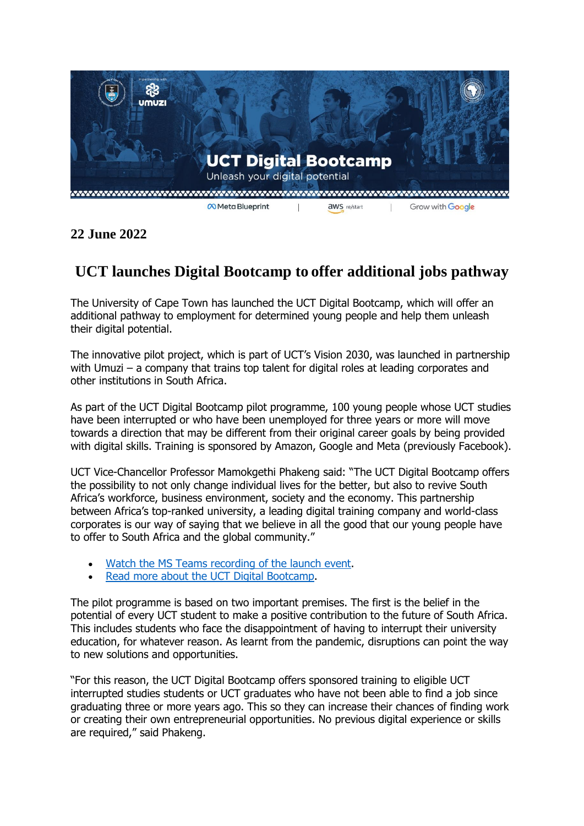

**22 June 2022**

## **UCT launches Digital Bootcamp to offer additional jobs pathway**

The University of Cape Town has launched the UCT Digital Bootcamp, which will offer an additional pathway to employment for determined young people and help them unleash their digital potential.

The innovative pilot project, which is part of UCT's Vision 2030, was launched in partnership with Umuzi – a company that trains top talent for digital roles at leading corporates and other institutions in South Africa.

As part of the UCT Digital Bootcamp pilot programme, 100 young people whose UCT studies have been interrupted or who have been unemployed for three years or more will move towards a direction that may be different from their original career goals by being provided with digital skills. Training is sponsored by Amazon, Google and Meta (previously Facebook).

UCT Vice-Chancellor Professor Mamokgethi Phakeng said: "The UCT Digital Bootcamp offers the possibility to not only change individual lives for the better, but also to revive South Africa's workforce, business environment, society and the economy. This partnership between Africa's top-ranked university, a leading digital training company and world-class corporates is our way of saying that we believe in all the good that our young people have to offer to South Africa and the global community."

- [Watch the MS Teams recording of the launch event.](https://bit.ly/UCT_Digital_Bootcamp_Launch)
- [Read more about the UCT Digital Bootcamp.](http://www.uct.ac.za/main/explore-uct/strategic-initiatives/uct-digital-bootcamp)

The pilot programme is based on two important premises. The first is the belief in the potential of every UCT student to make a positive contribution to the future of South Africa. This includes students who face the disappointment of having to interrupt their university education, for whatever reason. As learnt from the pandemic, disruptions can point the way to new solutions and opportunities.

"For this reason, the UCT Digital Bootcamp offers sponsored training to eligible UCT interrupted studies students or UCT graduates who have not been able to find a job since graduating three or more years ago. This so they can increase their chances of finding work or creating their own entrepreneurial opportunities. No previous digital experience or skills are required," said Phakeng.